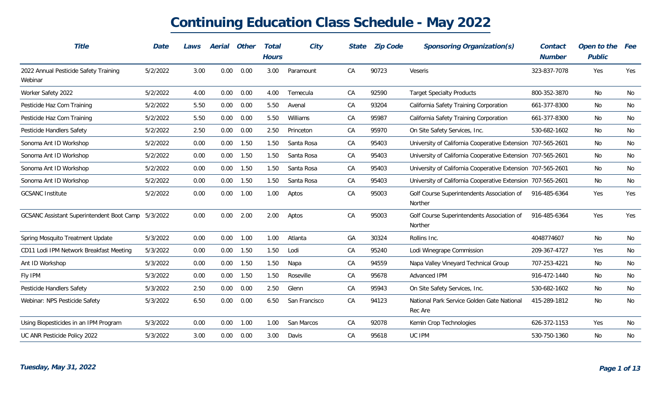| Title                                              | Date     | Laws | Aerial   | Other | Total        | City          | State | <b>Zip Code</b> | Sponsoring Organization(s)                                  | Contact       | Open to the | Fee |
|----------------------------------------------------|----------|------|----------|-------|--------------|---------------|-------|-----------------|-------------------------------------------------------------|---------------|-------------|-----|
|                                                    |          |      |          |       | <b>Hours</b> |               |       |                 |                                                             | <b>Number</b> | Public      |     |
| 2022 Annual Pesticide Safety Training<br>Webinar   | 5/2/2022 | 3.00 | 0.00     | 0.00  | 3.00         | Paramount     | CA    | 90723           | Veseris                                                     | 323-837-7078  | Yes         | Yes |
| Worker Safety 2022                                 | 5/2/2022 | 4.00 | 0.00     | 0.00  | 4.00         | Temecula      | CA    | 92590           | <b>Target Specialty Products</b>                            | 800-352-3870  | No          | No  |
| Pesticide Haz Com Training                         | 5/2/2022 | 5.50 | 0.00     | 0.00  | 5.50         | Avenal        | CA    | 93204           | California Safety Training Corporation                      | 661-377-8300  | No          | No  |
| Pesticide Haz Com Training                         | 5/2/2022 | 5.50 | 0.00     | 0.00  | 5.50         | Williams      | CA    | 95987           | California Safety Training Corporation                      | 661-377-8300  | No          | No  |
| Pesticide Handlers Safety                          | 5/2/2022 | 2.50 | 0.00     | 0.00  | 2.50         | Princeton     | CA    | 95970           | On Site Safety Services, Inc.                               | 530-682-1602  | No          | No  |
| Sonoma Ant ID Workshop                             | 5/2/2022 | 0.00 | 0.00     | 1.50  | 1.50         | Santa Rosa    | CA    | 95403           | University of California Cooperative Extension 707-565-2601 |               | No          | No  |
| Sonoma Ant ID Workshop                             | 5/2/2022 | 0.00 | 0.00     | 1.50  | 1.50         | Santa Rosa    | CA    | 95403           | University of California Cooperative Extension 707-565-2601 |               | No          | No  |
| Sonoma Ant ID Workshop                             | 5/2/2022 | 0.00 | 0.00     | 1.50  | 1.50         | Santa Rosa    | CA    | 95403           | University of California Cooperative Extension 707-565-2601 |               | No          | No  |
| Sonoma Ant ID Workshop                             | 5/2/2022 | 0.00 | 0.00     | 1.50  | 1.50         | Santa Rosa    | CA    | 95403           | University of California Cooperative Extension 707-565-2601 |               | No          | No  |
| <b>GCSANC Institute</b>                            | 5/2/2022 | 0.00 | 0.00     | 1.00  | 1.00         | Aptos         | CA    | 95003           | Golf Course Superintendents Association of<br>Norther       | 916-485-6364  | Yes         | Yes |
| GCSANC Assistant Superintendent Boot Camp 5/3/2022 |          | 0.00 | 0.00     | 2.00  | 2.00         | Aptos         | CA    | 95003           | Golf Course Superintendents Association of<br>Norther       | 916-485-6364  | Yes         | Yes |
| Spring Mosquito Treatment Update                   | 5/3/2022 | 0.00 | 0.00     | 1.00  | 1.00         | Atlanta       | GA    | 30324           | Rollins Inc.                                                | 4048774607    | No          | No  |
| CD11 Lodi IPM Network Breakfast Meeting            | 5/3/2022 | 0.00 | 0.00     | 1.50  | 1.50         | Lodi          | CA    | 95240           | Lodi Winegrape Commission                                   | 209-367-4727  | Yes         | No  |
| Ant ID Workshop                                    | 5/3/2022 | 0.00 | 0.00     | 1.50  | 1.50         | Napa          | CA    | 94559           | Napa Valley Vineyard Technical Group                        | 707-253-4221  | No          | No  |
| Fly IPM                                            | 5/3/2022 | 0.00 | 0.00     | 1.50  | 1.50         | Roseville     | CA    | 95678           | Advanced IPM                                                | 916-472-1440  | No          | No  |
| Pesticide Handlers Safety                          | 5/3/2022 | 2.50 | 0.00     | 0.00  | 2.50         | Glenn         | CA    | 95943           | On Site Safety Services, Inc.                               | 530-682-1602  | No          | No  |
| Webinar: NPS Pesticide Safety                      | 5/3/2022 | 6.50 | 0.00     | 0.00  | 6.50         | San Francisco | CA    | 94123           | National Park Service Golden Gate National<br>Rec Are       | 415-289-1812  | No          | No  |
| Using Biopesticides in an IPM Program              | 5/3/2022 | 0.00 | 0.00     | 1.00  | 1.00         | San Marcos    | CA    | 92078           | Kemin Crop Technologies                                     | 626-372-1153  | Yes         | No  |
| UC ANR Pesticide Policy 2022                       | 5/3/2022 | 3.00 | $0.00\,$ | 0.00  | 3.00         | Davis         | CA    | 95618           | UC IPM                                                      | 530-750-1360  | No          | No  |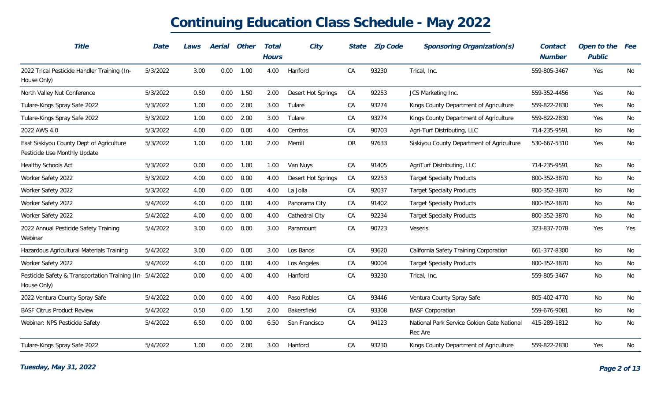| Title                                                                    | Date     | Laws | Aerial | Other | <b>Total</b><br><b>Hours</b> | City               | State     | <b>Zip Code</b> | Sponsoring Organization(s)                            | Contact<br>Number | Open to the<br>Public | Fee |
|--------------------------------------------------------------------------|----------|------|--------|-------|------------------------------|--------------------|-----------|-----------------|-------------------------------------------------------|-------------------|-----------------------|-----|
| 2022 Trical Pesticide Handler Training (In-<br>House Only)               | 5/3/2022 | 3.00 | 0.00   | 1.00  | 4.00                         | Hanford            | CA        | 93230           | Trical, Inc.                                          | 559-805-3467      | Yes                   | No  |
| North Valley Nut Conference                                              | 5/3/2022 | 0.50 | 0.00   | 1.50  | 2.00                         | Desert Hot Springs | CA        | 92253           | JCS Marketing Inc.                                    | 559-352-4456      | Yes                   | No  |
| Tulare-Kings Spray Safe 2022                                             | 5/3/2022 | 1.00 | 0.00   | 2.00  | 3.00                         | Tulare             | CA        | 93274           | Kings County Department of Agriculture                | 559-822-2830      | Yes                   | No  |
| Tulare-Kings Spray Safe 2022                                             | 5/3/2022 | 1.00 | 0.00   | 2.00  | 3.00                         | Tulare             | CA        | 93274           | Kings County Department of Agriculture                | 559-822-2830      | Yes                   | No  |
| 2022 AWS 4.0                                                             | 5/3/2022 | 4.00 | 0.00   | 0.00  | 4.00                         | Cerritos           | CA        | 90703           | Agri-Turf Distributing, LLC                           | 714-235-9591      | No                    | No  |
| East Siskiyou County Dept of Agriculture<br>Pesticide Use Monthly Update | 5/3/2022 | 1.00 | 0.00   | 1.00  | 2.00                         | Merrill            | <b>OR</b> | 97633           | Siskiyou County Department of Agriculture             | 530-667-5310      | Yes                   | No  |
| Healthy Schools Act                                                      | 5/3/2022 | 0.00 | 0.00   | 1.00  | 1.00                         | Van Nuys           | CA        | 91405           | AgriTurf Distributing, LLC                            | 714-235-9591      | No                    | No  |
| Worker Safety 2022                                                       | 5/3/2022 | 4.00 | 0.00   | 0.00  | 4.00                         | Desert Hot Springs | CA        | 92253           | <b>Target Specialty Products</b>                      | 800-352-3870      | No                    | No  |
| Worker Safety 2022                                                       | 5/3/2022 | 4.00 | 0.00   | 0.00  | 4.00                         | La Jolla           | CA        | 92037           | <b>Target Specialty Products</b>                      | 800-352-3870      | No                    | No  |
| Worker Safety 2022                                                       | 5/4/2022 | 4.00 | 0.00   | 0.00  | 4.00                         | Panorama City      | CA        | 91402           | <b>Target Specialty Products</b>                      | 800-352-3870      | No                    | No  |
| Worker Safety 2022                                                       | 5/4/2022 | 4.00 | 0.00   | 0.00  | 4.00                         | Cathedral City     | CA        | 92234           | <b>Target Specialty Products</b>                      | 800-352-3870      | No                    | No  |
| 2022 Annual Pesticide Safety Training<br>Webinar                         | 5/4/2022 | 3.00 | 0.00   | 0.00  | 3.00                         | Paramount          | CA        | 90723           | Veseris                                               | 323-837-7078      | Yes                   | Yes |
| Hazardous Agricultural Materials Training                                | 5/4/2022 | 3.00 | 0.00   | 0.00  | 3.00                         | Los Banos          | CA        | 93620           | California Safety Training Corporation                | 661-377-8300      | No                    | No  |
| Worker Safety 2022                                                       | 5/4/2022 | 4.00 | 0.00   | 0.00  | 4.00                         | Los Angeles        | CA        | 90004           | <b>Target Specialty Products</b>                      | 800-352-3870      | No                    | No  |
| Pesticide Safety & Transportation Training (In- 5/4/2022<br>House Only)  |          | 0.00 | 0.00   | 4.00  | 4.00                         | Hanford            | CA        | 93230           | Trical, Inc.                                          | 559-805-3467      | No                    | No  |
| 2022 Ventura County Spray Safe                                           | 5/4/2022 | 0.00 | 0.00   | 4.00  | 4.00                         | Paso Robles        | CA        | 93446           | Ventura County Spray Safe                             | 805-402-4770      | No                    | No  |
| <b>BASF Citrus Product Review</b>                                        | 5/4/2022 | 0.50 | 0.00   | 1.50  | 2.00                         | Bakersfield        | CA        | 93308           | <b>BASF Corporation</b>                               | 559-676-9081      | No                    | No  |
| Webinar: NPS Pesticide Safety                                            | 5/4/2022 | 6.50 | 0.00   | 0.00  | 6.50                         | San Francisco      | CA        | 94123           | National Park Service Golden Gate National<br>Rec Are | 415-289-1812      | No                    | No  |
| Tulare-Kings Spray Safe 2022                                             | 5/4/2022 | 1.00 | 0.00   | 2.00  | 3.00                         | Hanford            | CA        | 93230           | Kings County Department of Agriculture                | 559-822-2830      | Yes                   | No  |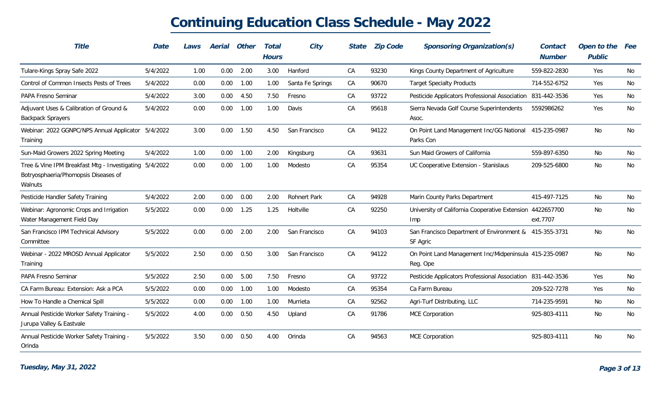| Title                                                                                                            | Date     | Laws | Aerial | Other | Total<br><b>Hours</b> | City                | State | <b>Zip Code</b> | Sponsoring Organization(s)                                         | Contact<br><b>Number</b> | Open to the<br>Public | Fee |
|------------------------------------------------------------------------------------------------------------------|----------|------|--------|-------|-----------------------|---------------------|-------|-----------------|--------------------------------------------------------------------|--------------------------|-----------------------|-----|
| Tulare-Kings Spray Safe 2022                                                                                     | 5/4/2022 | 1.00 | 0.00   | 2.00  | 3.00                  | Hanford             | CA    | 93230           | Kings County Department of Agriculture                             | 559-822-2830             | Yes                   | No  |
| Control of Common Insects Pests of Trees                                                                         | 5/4/2022 | 0.00 | 0.00   | 1.00  | 1.00                  | Santa Fe Springs    | CA    | 90670           | <b>Target Specialty Products</b>                                   | 714-552-6752             | Yes                   | No  |
| PAPA Fresno Seminar                                                                                              | 5/4/2022 | 3.00 | 0.00   | 4.50  | 7.50                  | Fresno              | CA    | 93722           | Pesticide Applicators Professional Association                     | 831-442-3536             | Yes                   | No  |
| Adjuvant Uses & Calibration of Ground &<br><b>Backpack Sprayers</b>                                              | 5/4/2022 | 0.00 | 0.00   | 1.00  | 1.00                  | Davis               | CA    | 95618           | Sierra Nevada Golf Course Superintendents<br>Asoc.                 | 5592986262               | Yes                   | No  |
| Webinar: 2022 GGNPC/NPS Annual Applicator 5/4/2022<br>Training                                                   |          | 3.00 | 0.00   | 1.50  | 4.50                  | San Francisco       | CA    | 94122           | On Point Land Management Inc/GG National 415-235-0987<br>Parks Con |                          | No                    | No  |
| Sun-Maid Growers 2022 Spring Meeting                                                                             | 5/4/2022 | 1.00 | 0.00   | 1.00  | 2.00                  | Kingsburg           | CA    | 93631           | Sun Maid Growers of California                                     | 559-897-6350             | No                    | No  |
| Tree & Vine IPM Breakfast Mtg - Investigating 5/4/2022<br>Botryosphaeria/Phomopsis Diseases of<br><b>Walnuts</b> |          | 0.00 | 0.00   | 1.00  | 1.00                  | Modesto             | CA    | 95354           | UC Cooperative Extension - Stanislaus                              | 209-525-6800             | No                    | No  |
| Pesticide Handler Safety Training                                                                                | 5/4/2022 | 2.00 | 0.00   | 0.00  | 2.00                  | <b>Rohnert Park</b> | CA    | 94928           | Marin County Parks Department                                      | 415-497-7125             | No                    | No  |
| Webinar: Agronomic Crops and Irrigation<br>Water Management Field Day                                            | 5/5/2022 | 0.00 | 0.00   | 1.25  | 1.25                  | Holtville           | CA    | 92250           | University of California Cooperative Extension 4422657700<br>Imp   | ext.7707                 | No                    | No  |
| San Francisco IPM Technical Advisory<br>Committee                                                                | 5/5/2022 | 0.00 | 0.00   | 2.00  | 2.00                  | San Francisco       | CA    | 94103           | San Francisco Department of Environment & 415-355-3731<br>SF Agric |                          | No                    | No  |
| Webinar - 2022 MROSD Annual Applicator<br>Training                                                               | 5/5/2022 | 2.50 | 0.00   | 0.50  | 3.00                  | San Francisco       | CA    | 94122           | On Point Land Management Inc/Midpeninsula 415-235-0987<br>Reg. Ope |                          | No                    | No  |
| PAPA Fresno Seminar                                                                                              | 5/5/2022 | 2.50 | 0.00   | 5.00  | 7.50                  | Fresno              | CA    | 93722           | Pesticide Applicators Professional Association 831-442-3536        |                          | Yes                   | No  |
| CA Farm Bureau: Extension: Ask a PCA                                                                             | 5/5/2022 | 0.00 | 0.00   | 1.00  | 1.00                  | Modesto             | CA    | 95354           | Ca Farm Bureau                                                     | 209-522-7278             | Yes                   | No  |
| How To Handle a Chemical Spill                                                                                   | 5/5/2022 | 0.00 | 0.00   | 1.00  | 1.00                  | Murrieta            | CA    | 92562           | Agri-Turf Distributing, LLC                                        | 714-235-9591             | No                    | No  |
| Annual Pesticide Worker Safety Training -<br>Jurupa Valley & Eastvale                                            | 5/5/2022 | 4.00 | 0.00   | 0.50  | 4.50                  | Upland              | CA    | 91786           | MCE Corporation                                                    | 925-803-4111             | No                    | No  |
| Annual Pesticide Worker Safety Training -<br>Orinda                                                              | 5/5/2022 | 3.50 | 0.00   | 0.50  | 4.00                  | Orinda              | CA    | 94563           | <b>MCE Corporation</b>                                             | 925-803-4111             | No                    | No  |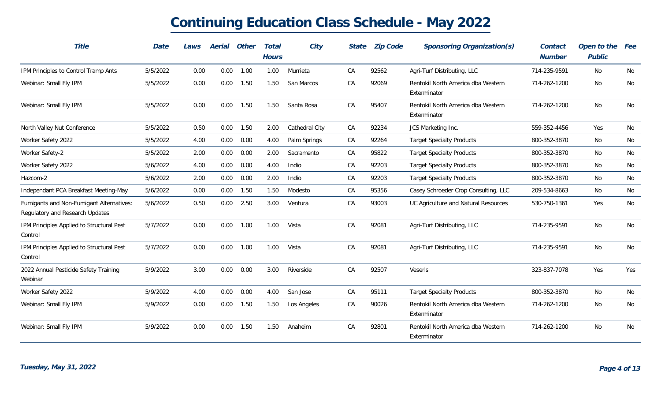| Title                                                                       | Date     | Laws | Aerial | Other | Total<br><b>Hours</b> | City           | State | <b>Zip Code</b> | Sponsoring Organization(s)                         | Contact<br><b>Number</b> | Open to the<br>Public | <i>Fee</i> |
|-----------------------------------------------------------------------------|----------|------|--------|-------|-----------------------|----------------|-------|-----------------|----------------------------------------------------|--------------------------|-----------------------|------------|
| IPM Principles to Control Tramp Ants                                        | 5/5/2022 | 0.00 | 0.00   | 1.00  | 1.00                  | Murrieta       | CA    | 92562           | Agri-Turf Distributing, LLC                        | 714-235-9591             | No                    | No         |
| Webinar: Small Fly IPM                                                      | 5/5/2022 | 0.00 | 0.00   | 1.50  | 1.50                  | San Marcos     | CA    | 92069           | Rentokil North America dba Western<br>Exterminator | 714-262-1200             | No                    | No         |
| Webinar: Small Fly IPM                                                      | 5/5/2022 | 0.00 | 0.00   | 1.50  | 1.50                  | Santa Rosa     | CA    | 95407           | Rentokil North America dba Western<br>Exterminator | 714-262-1200             | No                    | No         |
| North Valley Nut Conference                                                 | 5/5/2022 | 0.50 | 0.00   | 1.50  | 2.00                  | Cathedral City | CA    | 92234           | JCS Marketing Inc.                                 | 559-352-4456             | Yes                   | No         |
| Worker Safety 2022                                                          | 5/5/2022 | 4.00 | 0.00   | 0.00  | 4.00                  | Palm Springs   | CA    | 92264           | <b>Target Specialty Products</b>                   | 800-352-3870             | No                    | No         |
| Worker Safety-2                                                             | 5/5/2022 | 2.00 | 0.00   | 0.00  | 2.00                  | Sacramento     | CA    | 95822           | <b>Target Specialty Products</b>                   | 800-352-3870             | No                    | No         |
| Worker Safety 2022                                                          | 5/6/2022 | 4.00 | 0.00   | 0.00  | 4.00                  | Indio          | CA    | 92203           | <b>Target Specialty Products</b>                   | 800-352-3870             | No                    | No         |
| Hazcom-2                                                                    | 5/6/2022 | 2.00 | 0.00   | 0.00  | 2.00                  | Indio          | CA    | 92203           | <b>Target Specialty Products</b>                   | 800-352-3870             | No                    | No         |
| Independant PCA Breakfast Meeting-May                                       | 5/6/2022 | 0.00 | 0.00   | 1.50  | 1.50                  | Modesto        | CA    | 95356           | Casey Schroeder Crop Consulting, LLC               | 209-534-8663             | No                    | No         |
| Fumigants and Non-Fumigant Alternatives:<br>Regulatory and Research Updates | 5/6/2022 | 0.50 | 0.00   | 2.50  | 3.00                  | Ventura        | CA    | 93003           | UC Agriculture and Natural Resources               | 530-750-1361             | Yes                   | No         |
| IPM Principles Applied to Structural Pest<br>Control                        | 5/7/2022 | 0.00 | 0.00   | 1.00  | 1.00                  | Vista          | CA    | 92081           | Agri-Turf Distributing, LLC                        | 714-235-9591             | No                    | No         |
| IPM Principles Applied to Structural Pest<br>Control                        | 5/7/2022 | 0.00 | 0.00   | 1.00  | 1.00                  | Vista          | CA    | 92081           | Agri-Turf Distributing, LLC                        | 714-235-9591             | No                    | No         |
| 2022 Annual Pesticide Safety Training<br>Webinar                            | 5/9/2022 | 3.00 | 0.00   | 0.00  | 3.00                  | Riverside      | CA    | 92507           | Veseris                                            | 323-837-7078             | Yes                   | Yes        |
| Worker Safety 2022                                                          | 5/9/2022 | 4.00 | 0.00   | 0.00  | 4.00                  | San Jose       | CA    | 95111           | <b>Target Specialty Products</b>                   | 800-352-3870             | No                    | No         |
| Webinar: Small Fly IPM                                                      | 5/9/2022 | 0.00 | 0.00   | 1.50  | 1.50                  | Los Angeles    | CA    | 90026           | Rentokil North America dba Western<br>Exterminator | 714-262-1200             | No                    | No         |
| Webinar: Small Fly IPM                                                      | 5/9/2022 | 0.00 | 0.00   | 1.50  | 1.50                  | Anaheim        | CA    | 92801           | Rentokil North America dba Western<br>Exterminator | 714-262-1200             | No                    | No         |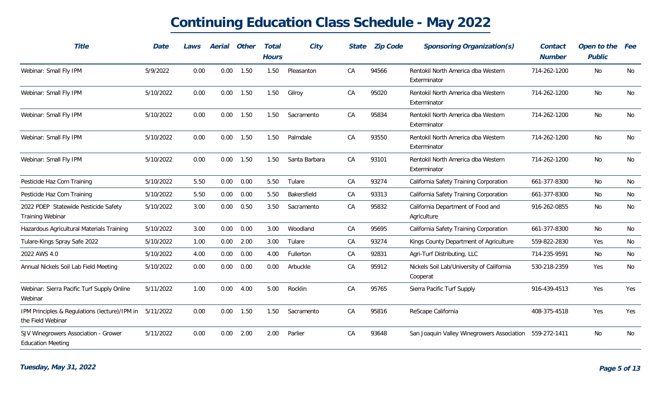| Title                                                              | Date      | Laws | Aerial | Other | Total<br><b>Hours</b> | City          | <b>State</b> | <b>Zip Code</b> | Sponsoring Organization(s)                            | Contact<br><b>Number</b> | Open to the<br>Public | <i>Fee</i> |
|--------------------------------------------------------------------|-----------|------|--------|-------|-----------------------|---------------|--------------|-----------------|-------------------------------------------------------|--------------------------|-----------------------|------------|
| Webinar: Small Fly IPM                                             | 5/9/2022  | 0.00 | 0.00   | 1.50  | 1.50                  | Pleasanton    | CA           | 94566           | Rentokil North America dba Western<br>Exterminator    | 714-262-1200             | No                    | No         |
| Webinar: Small Fly IPM                                             | 5/10/2022 | 0.00 | 0.00   | 1.50  | 1.50                  | Gilroy        | CA           | 95020           | Rentokil North America dba Western<br>Exterminator    | 714-262-1200             | No                    | No         |
| Webinar: Small Fly IPM                                             | 5/10/2022 | 0.00 | 0.00   | 1.50  | 1.50                  | Sacramento    | CA           | 95834           | Rentokil North America dba Western<br>Exterminator    | 714-262-1200             | No                    | No         |
| Webinar: Small Fly IPM                                             | 5/10/2022 | 0.00 | 0.00   | 1.50  | 1.50                  | Palmdale      | CA           | 93550           | Rentokil North America dba Western<br>Exterminator    | 714-262-1200             | No                    | No         |
| Webinar: Small Fly IPM                                             | 5/10/2022 | 0.00 | 0.00   | 1.50  | 1.50                  | Santa Barbara | CA           | 93101           | Rentokil North America dba Western<br>Exterminator    | 714-262-1200             | No                    | No         |
| Pesticide Haz Com Training                                         | 5/10/2022 | 5.50 | 0.00   | 0.00  | 5.50                  | Tulare        | CA           | 93274           | California Safety Training Corporation                | 661-377-8300             | No                    | No         |
| Pesticide Haz Com Training                                         | 5/10/2022 | 5.50 | 0.00   | 0.00  | 5.50                  | Bakersfield   | CA           | 93313           | California Safety Training Corporation                | 661-377-8300             | No                    | No         |
| 2022 PDEP Statewide Pesticide Safety<br><b>Training Webinar</b>    | 5/10/2022 | 3.00 | 0.00   | 0.50  | 3.50                  | Sacramento    | CA           | 95832           | California Department of Food and<br>Agriculture      | 916-262-0855             | No                    | No         |
| Hazardous Agricultural Materials Training                          | 5/10/2022 | 3.00 | 0.00   | 0.00  | 3.00                  | Woodland      | CA           | 95695           | California Safety Training Corporation                | 661-377-8300             | No                    | No         |
| Tulare-Kings Spray Safe 2022                                       | 5/10/2022 | 1.00 | 0.00   | 2.00  | 3.00                  | Tulare        | CA           | 93274           | Kings County Department of Agriculture                | 559-822-2830             | Yes                   | No         |
| 2022 AWS 4.0                                                       | 5/10/2022 | 4.00 | 0.00   | 0.00  | 4.00                  | Fullerton     | CA           | 92831           | Agri-Turf Distributing, LLC                           | 714-235-9591             | No                    | No         |
| Annual Nickels Soil Lab Field Meeting                              | 5/10/2022 | 0.00 | 0.00   | 0.00  | 0.00                  | Arbuckle      | CA           | 95912           | Nickels Soil Lab/University of California<br>Cooperat | 530-218-2359             | Yes                   | No         |
| Webinar: Sierra Pacific Turf Supply Online<br>Webinar              | 5/11/2022 | 1.00 | 0.00   | 4.00  | 5.00                  | Rocklin       | CA           | 95765           | Sierra Pacific Turf Supply                            | 916-439-4513             | Yes                   | Yes        |
| IPM Principles & Regulations (lecture)/IPM in<br>the Field Webinar | 5/11/2022 | 0.00 | 0.00   | 1.50  | 1.50                  | Sacramento    | СA           | 95816           | ReScape California                                    | 408-375-4518             | Yes                   | Yes        |
| SJV Winegrowers Association - Grower<br><b>Education Meeting</b>   | 5/11/2022 | 0.00 | 0.00   | 2.00  | 2.00                  | Parlier       | CA           | 93648           | San Joaquin Valley Winegrowers Association            | 559-272-1411             | No                    | No         |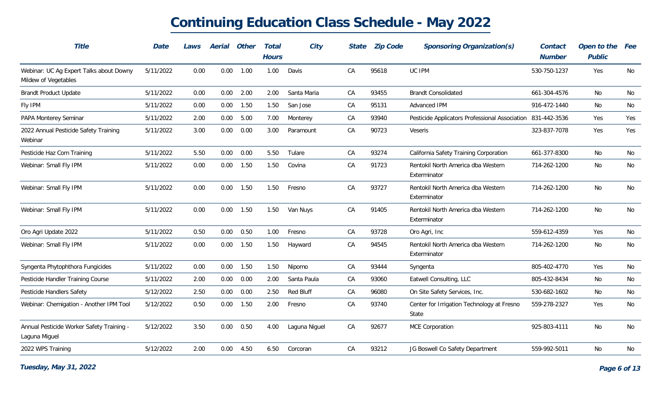| Title                                                           | Date      | Laws | Aerial | Other       | Total<br><b>Hours</b> | City             | State | <b>Zip Code</b> | Sponsoring Organization(s)                          | Contact<br><b>Number</b> | Open to the<br>Public | Fee |
|-----------------------------------------------------------------|-----------|------|--------|-------------|-----------------------|------------------|-------|-----------------|-----------------------------------------------------|--------------------------|-----------------------|-----|
| Webinar: UC Ag Expert Talks about Downy<br>Mildew of Vegetables | 5/11/2022 | 0.00 | 0.00   | 1.00        | 1.00                  | Davis            | CA    | 95618           | UC IPM                                              | 530-750-1237             | Yes                   | No  |
| <b>Brandt Product Update</b>                                    | 5/11/2022 | 0.00 | 0.00   | 2.00        | 2.00                  | Santa Maria      | CA    | 93455           | <b>Brandt Consolidated</b>                          | 661-304-4576             | No                    | No  |
| Fly IPM                                                         | 5/11/2022 | 0.00 | 0.00   | 1.50        | 1.50                  | San Jose         | CA    | 95131           | Advanced IPM                                        | 916-472-1440             | No                    | No  |
| PAPA Monterey Seminar                                           | 5/11/2022 | 2.00 | 0.00   | 5.00        | 7.00                  | Monterey         | CA    | 93940           | Pesticide Applicators Professional Association      | 831-442-3536             | Yes                   | Yes |
| 2022 Annual Pesticide Safety Training<br>Webinar                | 5/11/2022 | 3.00 | 0.00   | 0.00        | 3.00                  | Paramount        | CA    | 90723           | <b>Veseris</b>                                      | 323-837-7078             | Yes                   | Yes |
| Pesticide Haz Com Training                                      | 5/11/2022 | 5.50 | 0.00   | 0.00        | 5.50                  | Tulare           | CA    | 93274           | California Safety Training Corporation              | 661-377-8300             | No                    | No  |
| Webinar: Small Fly IPM                                          | 5/11/2022 | 0.00 | 0.00   | 1.50        | 1.50                  | Covina           | CA    | 91723           | Rentokil North America dba Western<br>Exterminator  | 714-262-1200             | No                    | No  |
| Webinar: Small Fly IPM                                          | 5/11/2022 | 0.00 | 0.00   | 1.50        | 1.50                  | Fresno           | CA    | 93727           | Rentokil North America dba Western<br>Exterminator  | 714-262-1200             | No                    | No  |
| Webinar: Small Fly IPM                                          | 5/11/2022 | 0.00 | 0.00   | 1.50        | 1.50                  | Van Nuys         | CA    | 91405           | Rentokil North America dba Western<br>Exterminator  | 714-262-1200             | No                    | No  |
| Oro Agri Update 2022                                            | 5/11/2022 | 0.50 | 0.00   | 0.50        | 1.00                  | Fresno           | CA    | 93728           | Oro Agri, Inc                                       | 559-612-4359             | Yes                   | No  |
| Webinar: Small Fly IPM                                          | 5/11/2022 | 0.00 | 0.00   | 1.50        | 1.50                  | Hayward          | CA    | 94545           | Rentokil North America dba Western<br>Exterminator  | 714-262-1200             | No                    | No  |
| Syngenta Phytophthora Fungicides                                | 5/11/2022 | 0.00 | 0.00   | 1.50        | 1.50                  | Nipomo           | CA    | 93444           | Syngenta                                            | 805-402-4770             | Yes                   | No  |
| Pesticide Handler Training Course                               | 5/11/2022 | 2.00 | 0.00   | 0.00        | 2.00                  | Santa Paula      | CA    | 93060           | Eatwell Consulting, LLC                             | 805-432-8434             | No                    | No  |
| Pesticide Handlers Safety                                       | 5/12/2022 | 2.50 | 0.00   | 0.00        | 2.50                  | <b>Red Bluff</b> | CA    | 96080           | On Site Safety Services, Inc.                       | 530-682-1602             | No                    | No  |
| Webinar: Chemigation - Another IPM Tool                         | 5/12/2022 | 0.50 | 0.00   | 1.50        | 2.00                  | Fresno           | CA    | 93740           | Center for Irrigation Technology at Fresno<br>State | 559-278-2327             | Yes                   | No  |
| Annual Pesticide Worker Safety Training -<br>Laguna Miguel      | 5/12/2022 | 3.50 | 0.00   | 0.50        | 4.00                  | Laguna Niguel    | CA    | 92677           | MCE Corporation                                     | 925-803-4111             | No                    | No  |
| 2022 WPS Training                                               | 5/12/2022 | 2.00 |        | $0.00$ 4.50 | 6.50                  | Corcoran         | CA    | 93212           | JG Boswell Co Safety Department                     | 559-992-5011             | No                    | No  |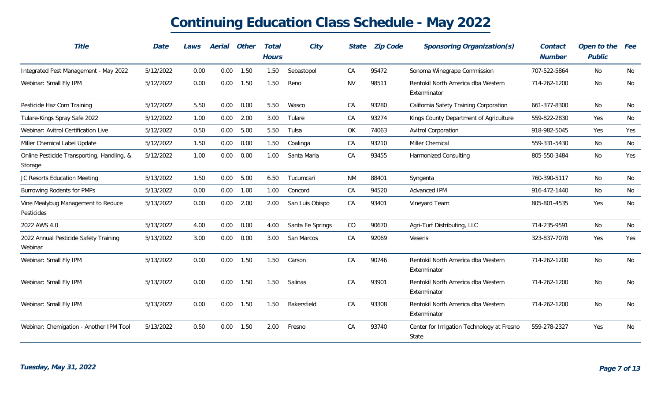| Title                                                 | Date      | Laws | Aerial   | Other | Total<br><b>Hours</b> | City             | State     | <b>Zip Code</b> | Sponsoring Organization(s)                          | Contact<br><b>Number</b> | Open to the<br>Public | Fee |
|-------------------------------------------------------|-----------|------|----------|-------|-----------------------|------------------|-----------|-----------------|-----------------------------------------------------|--------------------------|-----------------------|-----|
| Integrated Pest Management - May 2022                 | 5/12/2022 | 0.00 | 0.00     | 1.50  | 1.50                  | Sebastopol       | CA        | 95472           | Sonoma Winegrape Commission                         | 707-522-5864             | No                    | No  |
| Webinar: Small Fly IPM                                | 5/12/2022 | 0.00 | 0.00     | 1.50  | 1.50                  | Reno             | <b>NV</b> | 98511           | Rentokil North America dba Western<br>Exterminator  | 714-262-1200             | No                    | No  |
| Pesticide Haz Com Training                            | 5/12/2022 | 5.50 | 0.00     | 0.00  | 5.50                  | Wasco            | CA        | 93280           | California Safety Training Corporation              | 661-377-8300             | No                    | No  |
| Tulare-Kings Spray Safe 2022                          | 5/12/2022 | 1.00 | 0.00     | 2.00  | 3.00                  | Tulare           | CA        | 93274           | Kings County Department of Agriculture              | 559-822-2830             | Yes                   | No  |
| Webinar: Avitrol Certification Live                   | 5/12/2022 | 0.50 | 0.00     | 5.00  | 5.50                  | Tulsa            | OK        | 74063           | <b>Avitrol Corporation</b>                          | 918-982-5045             | Yes                   | Yes |
| Miller Chemical Label Update                          | 5/12/2022 | 1.50 | 0.00     | 0.00  | 1.50                  | Coalinga         | CA        | 93210           | Miller Chemical                                     | 559-331-5430             | No                    | No  |
| Online Pesticide Transporting, Handling, &<br>Storage | 5/12/2022 | 1.00 | 0.00     | 0.00  | 1.00                  | Santa Maria      | CA        | 93455           | <b>Harmonized Consulting</b>                        | 805-550-3484             | No                    | Yes |
| JC Resorts Education Meeting                          | 5/13/2022 | 1.50 | 0.00     | 5.00  | 6.50                  | Tucumcari        | <b>NM</b> | 88401           | Syngenta                                            | 760-390-5117             | No                    | No  |
| <b>Burrowing Rodents for PMPs</b>                     | 5/13/2022 | 0.00 | $0.00\,$ | 1.00  | 1.00                  | Concord          | СA        | 94520           | Advanced IPM                                        | 916-472-1440             | No                    | No  |
| Vine Mealybug Management to Reduce<br>Pesticides      | 5/13/2022 | 0.00 | 0.00     | 2.00  | 2.00                  | San Luis Obispo  | CA        | 93401           | Vineyard Team                                       | 805-801-4535             | Yes                   | No  |
| 2022 AWS 4.0                                          | 5/13/2022 | 4.00 | 0.00     | 0.00  | 4.00                  | Santa Fe Springs | CO        | 90670           | Agri-Turf Distributing, LLC                         | 714-235-9591             | No                    | No  |
| 2022 Annual Pesticide Safety Training<br>Webinar      | 5/13/2022 | 3.00 | 0.00     | 0.00  | 3.00                  | San Marcos       | CA        | 92069           | <b>Veseris</b>                                      | 323-837-7078             | Yes                   | Yes |
| Webinar: Small Fly IPM                                | 5/13/2022 | 0.00 | 0.00     | 1.50  | 1.50                  | Carson           | CA        | 90746           | Rentokil North America dba Western<br>Exterminator  | 714-262-1200             | No                    | No  |
| Webinar: Small Fly IPM                                | 5/13/2022 | 0.00 | 0.00     | 1.50  | 1.50                  | Salinas          | CA        | 93901           | Rentokil North America dba Western<br>Exterminator  | 714-262-1200             | No                    | No  |
| Webinar: Small Fly IPM                                | 5/13/2022 | 0.00 | 0.00     | 1.50  | 1.50                  | Bakersfield      | CA        | 93308           | Rentokil North America dba Western<br>Exterminator  | 714-262-1200             | No                    | No  |
| Webinar: Chemigation - Another IPM Tool               | 5/13/2022 | 0.50 | 0.00     | 1.50  | 2.00                  | Fresno           | CA        | 93740           | Center for Irrigation Technology at Fresno<br>State | 559-278-2327             | Yes                   | No  |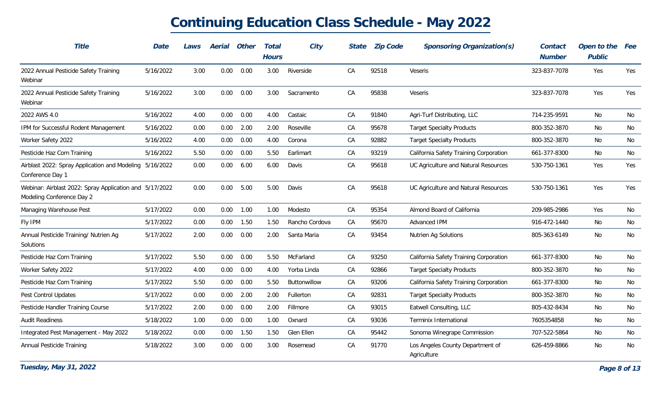| Title                                                                                | Date      | Laws | Aerial | Other | Total<br><b>Hours</b> | City           | State | <b>Zip Code</b> | Sponsoring Organization(s)                      | Contact<br><b>Number</b> | Open to the<br>Public | Fee |
|--------------------------------------------------------------------------------------|-----------|------|--------|-------|-----------------------|----------------|-------|-----------------|-------------------------------------------------|--------------------------|-----------------------|-----|
| 2022 Annual Pesticide Safety Training<br>Webinar                                     | 5/16/2022 | 3.00 | 0.00   | 0.00  | 3.00                  | Riverside      | CA    | 92518           | Veseris                                         | 323-837-7078             | Yes                   | Yes |
| 2022 Annual Pesticide Safety Training<br>Webinar                                     | 5/16/2022 | 3.00 | 0.00   | 0.00  | 3.00                  | Sacramento     | CA    | 95838           | Veseris                                         | 323-837-7078             | Yes                   | Yes |
| 2022 AWS 4.0                                                                         | 5/16/2022 | 4.00 | 0.00   | 0.00  | 4.00                  | Castaic        | CA    | 91840           | Agri-Turf Distributing, LLC                     | 714-235-9591             | No                    | No  |
| IPM for Successful Rodent Management                                                 | 5/16/2022 | 0.00 | 0.00   | 2.00  | 2.00                  | Roseville      | CA    | 95678           | <b>Target Specialty Products</b>                | 800-352-3870             | No                    | No  |
| Worker Safety 2022                                                                   | 5/16/2022 | 4.00 | 0.00   | 0.00  | 4.00                  | Corona         | CA    | 92882           | <b>Target Specialty Products</b>                | 800-352-3870             | No                    | No  |
| Pesticide Haz Com Training                                                           | 5/16/2022 | 5.50 | 0.00   | 0.00  | 5.50                  | Earlimart      | CA    | 93219           | California Safety Training Corporation          | 661-377-8300             | No                    | No  |
| Airblast 2022: Spray Application and Modeling 5/16/2022<br>Conference Day 1          |           | 0.00 | 0.00   | 6.00  | 6.00                  | Davis          | CA    | 95618           | UC Agriculture and Natural Resources            | 530-750-1361             | Yes                   | Yes |
| Webinar: Airblast 2022: Spray Application and 5/17/2022<br>Modeling Conference Day 2 |           | 0.00 | 0.00   | 5.00  | 5.00                  | Davis          | CA    | 95618           | UC Agriculture and Natural Resources            | 530-750-1361             | Yes                   | Yes |
| Managing Warehouse Pest                                                              | 5/17/2022 | 0.00 | 0.00   | 1.00  | 1.00                  | Modesto        | CA    | 95354           | Almond Board of California                      | 209-985-2986             | Yes                   | No  |
| Fly IPM                                                                              | 5/17/2022 | 0.00 | 0.00   | 1.50  | 1.50                  | Rancho Cordova | CA    | 95670           | Advanced IPM                                    | 916-472-1440             | No                    | No  |
| Annual Pesticide Training/ Nutrien Ag<br>Solutions                                   | 5/17/2022 | 2.00 | 0.00   | 0.00  | 2.00                  | Santa Maria    | CA    | 93454           | Nutrien Ag Solutions                            | 805-363-6149             | No                    | No  |
| Pesticide Haz Com Training                                                           | 5/17/2022 | 5.50 | 0.00   | 0.00  | 5.50                  | McFarland      | CA    | 93250           | California Safety Training Corporation          | 661-377-8300             | No                    | No  |
| Worker Safety 2022                                                                   | 5/17/2022 | 4.00 | 0.00   | 0.00  | 4.00                  | Yorba Linda    | CA    | 92866           | <b>Target Specialty Products</b>                | 800-352-3870             | No                    | No  |
| Pesticide Haz Com Training                                                           | 5/17/2022 | 5.50 | 0.00   | 0.00  | 5.50                  | Buttonwillow   | CA    | 93206           | California Safety Training Corporation          | 661-377-8300             | No                    | No  |
| Pest Control Updates                                                                 | 5/17/2022 | 0.00 | 0.00   | 2.00  | 2.00                  | Fullerton      | CA    | 92831           | <b>Target Specialty Products</b>                | 800-352-3870             | No                    | No  |
| Pesticide Handler Training Course                                                    | 5/17/2022 | 2.00 | 0.00   | 0.00  | 2.00                  | Fillmore       | CA    | 93015           | Eatwell Consulting, LLC                         | 805-432-8434             | No                    | No  |
| <b>Audit Readiness</b>                                                               | 5/18/2022 | 1.00 | 0.00   | 0.00  | 1.00                  | Oxnard         | CA    | 93036           | Terminix International                          | 7605354858               | No                    | No  |
| Integrated Pest Management - May 2022                                                | 5/18/2022 | 0.00 | 0.00   | 1.50  | 1.50                  | Glen Ellen     | CA    | 95442           | Sonoma Winegrape Commission                     | 707-522-5864             | No                    | No  |
| Annual Pesticide Training                                                            | 5/18/2022 | 3.00 | 0.00   | 0.00  | 3.00                  | Rosemead       | CA    | 91770           | Los Angeles County Department of<br>Agriculture | 626-459-8866             | No                    | No  |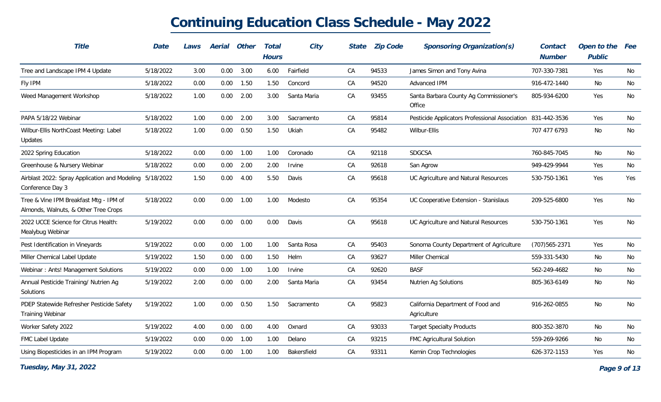| Title                                                                          | Date      | Laws | Aerial   | Other | Total<br><b>Hours</b> | City          | State | <b>Zip Code</b> | Sponsoring Organization(s)                                  | Contact<br><b>Number</b> | Open to the<br>Public | Fee |
|--------------------------------------------------------------------------------|-----------|------|----------|-------|-----------------------|---------------|-------|-----------------|-------------------------------------------------------------|--------------------------|-----------------------|-----|
| Tree and Landscape IPM 4 Update                                                | 5/18/2022 | 3.00 | $0.00\,$ | 3.00  | 6.00                  | Fairfield     | CA    | 94533           | James Simon and Tony Avina                                  | 707-330-7381             | Yes                   | No  |
| Fly IPM                                                                        | 5/18/2022 | 0.00 | 0.00     | 1.50  | 1.50                  | Concord       | CA    | 94520           | Advanced IPM                                                | 916-472-1440             | No                    | No  |
| Weed Management Workshop                                                       | 5/18/2022 | 1.00 | 0.00     | 2.00  | 3.00                  | Santa Maria   | CA    | 93455           | Santa Barbara County Ag Commissioner's<br>Office            | 805-934-6200             | Yes                   | No  |
| PAPA 5/18/22 Webinar                                                           | 5/18/2022 | 1.00 | 0.00     | 2.00  | 3.00                  | Sacramento    | CA    | 95814           | Pesticide Applicators Professional Association 831-442-3536 |                          | Yes                   | No  |
| Wilbur-Ellis NorthCoast Meeting: Label<br>Updates                              | 5/18/2022 | 1.00 | 0.00     | 0.50  | 1.50                  | Ukiah         | CA    | 95482           | Wilbur-Ellis                                                | 707 477 6793             | No                    | No  |
| 2022 Spring Education                                                          | 5/18/2022 | 0.00 | 0.00     | 1.00  | 1.00                  | Coronado      | CA    | 92118           | <b>SDGCSA</b>                                               | 760-845-7045             | No                    | No  |
| Greenhouse & Nursery Webinar                                                   | 5/18/2022 | 0.00 | 0.00     | 2.00  | 2.00                  | Irvine        | CA    | 92618           | San Agrow                                                   | 949-429-9944             | Yes                   | No  |
| Airblast 2022: Spray Application and Modeling 5/18/2022<br>Conference Day 3    |           | 1.50 | 0.00     | 4.00  | 5.50                  | Davis         | CA    | 95618           | UC Agriculture and Natural Resources                        | 530-750-1361             | Yes                   | Yes |
| Tree & Vine IPM Breakfast Mtg - IPM of<br>Almonds, Walnuts, & Other Tree Crops | 5/18/2022 | 0.00 | 0.00     | 1.00  | 1.00                  | Modesto       | CA    | 95354           | UC Cooperative Extension - Stanislaus                       | 209-525-6800             | Yes                   | No  |
| 2022 UCCE Science for Citrus Health:<br>Mealybug Webinar                       | 5/19/2022 | 0.00 | 0.00     | 0.00  | 0.00                  | Davis         | CA    | 95618           | UC Agriculture and Natural Resources                        | 530-750-1361             | <b>Yes</b>            | No  |
| Pest Identification in Vineyards                                               | 5/19/2022 | 0.00 | 0.00     | 1.00  | 1.00                  | Santa Rosa    | CA    | 95403           | Sonoma County Department of Agriculture                     | $(707)565 - 2371$        | Yes                   | No  |
| Miller Chemical Label Update                                                   | 5/19/2022 | 1.50 | 0.00     | 0.00  | 1.50                  | Helm          | CA    | 93627           | Miller Chemical                                             | 559-331-5430             | No                    | No  |
| Webinar: Ants! Management Solutions                                            | 5/19/2022 | 0.00 | 0.00     | 1.00  | 1.00                  | <b>Irvine</b> | CA    | 92620           | <b>BASF</b>                                                 | 562-249-4682             | No                    | No  |
| Annual Pesticide Training/ Nutrien Ag<br>Solutions                             | 5/19/2022 | 2.00 | 0.00     | 0.00  | 2.00                  | Santa Maria   | CA    | 93454           | Nutrien Ag Solutions                                        | 805-363-6149             | No                    | No  |
| PDEP Statewide Refresher Pesticide Safety<br><b>Training Webinar</b>           | 5/19/2022 | 1.00 | 0.00     | 0.50  | 1.50                  | Sacramento    | CA    | 95823           | California Department of Food and<br>Agriculture            | 916-262-0855             | No                    | No  |
| Worker Safety 2022                                                             | 5/19/2022 | 4.00 | 0.00     | 0.00  | 4.00                  | Oxnard        | СA    | 93033           | <b>Target Specialty Products</b>                            | 800-352-3870             | No                    | No  |
| FMC Label Update                                                               | 5/19/2022 | 0.00 | 0.00     | 1.00  | 1.00                  | Delano        | CA    | 93215           | FMC Agricultural Solution                                   | 559-269-9266             | No                    | No  |
| Using Biopesticides in an IPM Program                                          | 5/19/2022 | 0.00 | 0.00     | 1.00  | 1.00                  | Bakersfield   | CA    | 93311           | Kemin Crop Technologies                                     | 626-372-1153             | Yes                   | No  |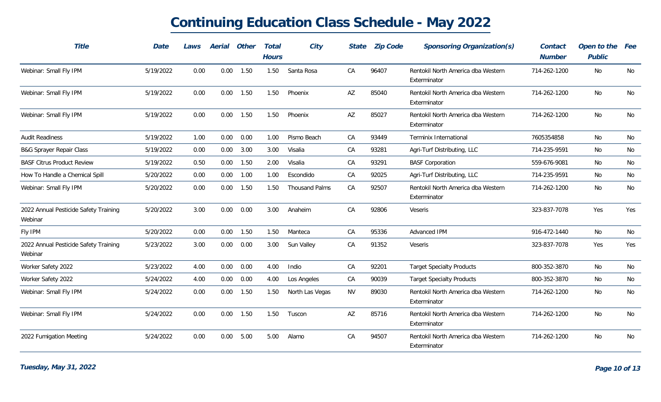| Title                                            | Date      | Laws | Aerial | Other | Total<br><b>Hours</b> | City                  | State     | <b>Zip Code</b> | Sponsoring Organization(s)                         | Contact<br>Number | Open to the<br>Public | <i>Fee</i> |
|--------------------------------------------------|-----------|------|--------|-------|-----------------------|-----------------------|-----------|-----------------|----------------------------------------------------|-------------------|-----------------------|------------|
| Webinar: Small Fly IPM                           | 5/19/2022 | 0.00 | 0.00   | 1.50  | 1.50                  | Santa Rosa            | CA        | 96407           | Rentokil North America dba Western<br>Exterminator | 714-262-1200      | No                    | No         |
| Webinar: Small Fly IPM                           | 5/19/2022 | 0.00 | 0.00   | 1.50  | 1.50                  | Phoenix               | AZ        | 85040           | Rentokil North America dba Western<br>Exterminator | 714-262-1200      | No                    | No         |
| Webinar: Small Fly IPM                           | 5/19/2022 | 0.00 | 0.00   | 1.50  | 1.50                  | Phoenix               | AZ        | 85027           | Rentokil North America dba Western<br>Exterminator | 714-262-1200      | No                    | No         |
| <b>Audit Readiness</b>                           | 5/19/2022 | 1.00 | 0.00   | 0.00  | 1.00                  | Pismo Beach           | CA        | 93449           | Terminix International                             | 7605354858        | No                    | No         |
| <b>B&amp;G Sprayer Repair Class</b>              | 5/19/2022 | 0.00 | 0.00   | 3.00  | 3.00                  | Visalia               | CA        | 93281           | Agri-Turf Distributing, LLC                        | 714-235-9591      | No                    | No         |
| <b>BASF Citrus Product Review</b>                | 5/19/2022 | 0.50 | 0.00   | 1.50  | 2.00                  | Visalia               | CA        | 93291           | <b>BASF Corporation</b>                            | 559-676-9081      | No                    | No         |
| How To Handle a Chemical Spill                   | 5/20/2022 | 0.00 | 0.00   | 1.00  | 1.00                  | Escondido             | CA        | 92025           | Agri-Turf Distributing, LLC                        | 714-235-9591      | No                    | No         |
| Webinar: Small Fly IPM                           | 5/20/2022 | 0.00 | 0.00   | 1.50  | 1.50                  | <b>Thousand Palms</b> | CA        | 92507           | Rentokil North America dba Western<br>Exterminator | 714-262-1200      | No                    | No         |
| 2022 Annual Pesticide Safety Training<br>Webinar | 5/20/2022 | 3.00 | 0.00   | 0.00  | 3.00                  | Anaheim               | CA        | 92806           | <b>Veseris</b>                                     | 323-837-7078      | <b>Yes</b>            | Yes        |
| Fly IPM                                          | 5/20/2022 | 0.00 | 0.00   | 1.50  | 1.50                  | Manteca               | CA        | 95336           | Advanced IPM                                       | 916-472-1440      | No                    | No         |
| 2022 Annual Pesticide Safety Training<br>Webinar | 5/23/2022 | 3.00 | 0.00   | 0.00  | 3.00                  | Sun Valley            | CA        | 91352           | Veseris                                            | 323-837-7078      | Yes                   | Yes        |
| Worker Safety 2022                               | 5/23/2022 | 4.00 | 0.00   | 0.00  | 4.00                  | Indio                 | CA        | 92201           | <b>Target Specialty Products</b>                   | 800-352-3870      | No                    | No         |
| Worker Safety 2022                               | 5/24/2022 | 4.00 | 0.00   | 0.00  | 4.00                  | Los Angeles           | CA        | 90039           | <b>Target Specialty Products</b>                   | 800-352-3870      | No                    | No         |
| Webinar: Small Fly IPM                           | 5/24/2022 | 0.00 | 0.00   | 1.50  | 1.50                  | North Las Vegas       | <b>NV</b> | 89030           | Rentokil North America dba Western<br>Exterminator | 714-262-1200      | No                    | No         |
| Webinar: Small Fly IPM                           | 5/24/2022 | 0.00 | 0.00   | 1.50  | 1.50                  | Tuscon                | AZ        | 85716           | Rentokil North America dba Western<br>Exterminator | 714-262-1200      | No                    | No         |
| 2022 Fumigation Meeting                          | 5/24/2022 | 0.00 | 0.00   | 5.00  | 5.00                  | Alamo                 | CA        | 94507           | Rentokil North America dba Western<br>Exterminator | 714-262-1200      | No                    | No         |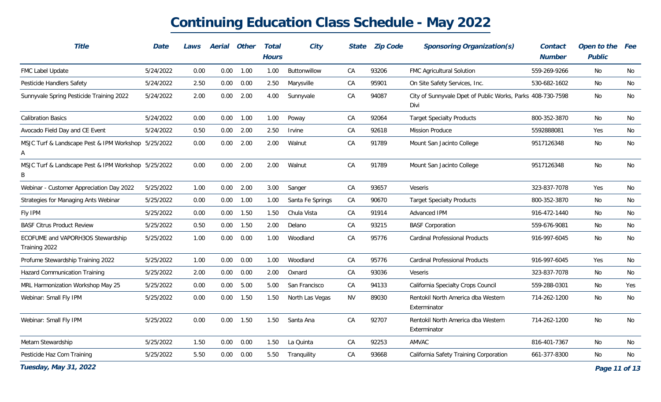| Title                                                    | Date      | Laws | Aerial | Other       | Total<br><b>Hours</b> | City             | State     | <b>Zip Code</b> | Sponsoring Organization(s)                                         | Contact<br><b>Number</b> | Open to the<br>Public | Fee |
|----------------------------------------------------------|-----------|------|--------|-------------|-----------------------|------------------|-----------|-----------------|--------------------------------------------------------------------|--------------------------|-----------------------|-----|
| FMC Label Update                                         | 5/24/2022 | 0.00 | 0.00   | 1.00        | 1.00                  | Buttonwillow     | CA        | 93206           | FMC Agricultural Solution                                          | 559-269-9266             | No                    | No  |
| Pesticide Handlers Safety                                | 5/24/2022 | 2.50 | 0.00   | 0.00        | 2.50                  | Marysville       | CA        | 95901           | On Site Safety Services, Inc.                                      | 530-682-1602             | No                    | No  |
| Sunnyvale Spring Pesticide Training 2022                 | 5/24/2022 | 2.00 | 0.00   | 2.00        | 4.00                  | Sunnyvale        | CA        | 94087           | City of Sunnyvale Dpet of Public Works, Parks 408-730-7598<br>Divi |                          | No                    | No  |
| <b>Calibration Basics</b>                                | 5/24/2022 | 0.00 |        | $0.00$ 1.00 | 1.00                  | Poway            | CA        | 92064           | <b>Target Specialty Products</b>                                   | 800-352-3870             | No                    | No  |
| Avocado Field Day and CE Event                           | 5/24/2022 | 0.50 | 0.00   | 2.00        | 2.50                  | Irvine           | CA        | 92618           | Mission Produce                                                    | 5592888081               | Yes                   | No  |
| MSJC Turf & Landscape Pest & IPM Workshop 5/25/2022<br>Α |           | 0.00 | 0.00   | 2.00        | 2.00                  | Walnut           | CA        | 91789           | Mount San Jacinto College                                          | 9517126348               | No                    | No  |
| MSJC Turf & Landscape Pest & IPM Workshop 5/25/2022<br>B |           | 0.00 | 0.00   | 2.00        | 2.00                  | Walnut           | CA        | 91789           | Mount San Jacinto College                                          | 9517126348               | No                    | No  |
| Webinar - Customer Appreciation Day 2022                 | 5/25/2022 | 1.00 | 0.00   | 2.00        | 3.00                  | Sanger           | CA        | 93657           | Veseris                                                            | 323-837-7078             | Yes                   | No  |
| Strategies for Managing Ants Webinar                     | 5/25/2022 | 0.00 | 0.00   | 1.00        | 1.00                  | Santa Fe Springs | CA        | 90670           | <b>Target Specialty Products</b>                                   | 800-352-3870             | No                    | No  |
| Fly IPM                                                  | 5/25/2022 | 0.00 | 0.00   | 1.50        | 1.50                  | Chula Vista      | CA        | 91914           | Advanced IPM                                                       | 916-472-1440             | No                    | No  |
| <b>BASF Citrus Product Review</b>                        | 5/25/2022 | 0.50 | 0.00   | 1.50        | 2.00                  | Delano           | CA        | 93215           | <b>BASF Corporation</b>                                            | 559-676-9081             | No                    | No  |
| ECOFUME and VAPORH3OS Stewardship<br>Training 2022       | 5/25/2022 | 1.00 | 0.00   | 0.00        | 1.00                  | Woodland         | CA        | 95776           | <b>Cardinal Professional Products</b>                              | 916-997-6045             | No                    | No  |
| Profume Stewardship Training 2022                        | 5/25/2022 | 1.00 | 0.00   | 0.00        | 1.00                  | Woodland         | CA        | 95776           | <b>Cardinal Professional Products</b>                              | 916-997-6045             | Yes                   | No  |
| Hazard Communication Training                            | 5/25/2022 | 2.00 | 0.00   | 0.00        | 2.00                  | Oxnard           | CA        | 93036           | Veseris                                                            | 323-837-7078             | No                    | No  |
| MRL Harmonization Workshop May 25                        | 5/25/2022 | 0.00 | 0.00   | 5.00        | 5.00                  | San Francisco    | CA        | 94133           | California Specialty Crops Council                                 | 559-288-0301             | No                    | Yes |
| Webinar: Small Fly IPM                                   | 5/25/2022 | 0.00 | 0.00   | 1.50        | 1.50                  | North Las Vegas  | <b>NV</b> | 89030           | Rentokil North America dba Western<br>Exterminator                 | 714-262-1200             | No                    | No  |
| Webinar: Small Fly IPM                                   | 5/25/2022 | 0.00 | 0.00   | 1.50        | 1.50                  | Santa Ana        | CA        | 92707           | Rentokil North America dba Western<br>Exterminator                 | 714-262-1200             | No                    | No  |
| Metam Stewardship                                        | 5/25/2022 | 1.50 | 0.00   | 0.00        | 1.50                  | La Quinta        | CA        | 92253           | AMVAC                                                              | 816-401-7367             | No                    | No  |
| Pesticide Haz Com Training                               | 5/25/2022 | 5.50 | 0.00   | 0.00        | 5.50                  | Tranguility      | CA        | 93668           | California Safety Training Corporation                             | 661-377-8300             | No                    | No  |
| Tuesday, May 31, 2022                                    |           |      |        |             |                       |                  |           |                 |                                                                    |                          | Page 11 of 13         |     |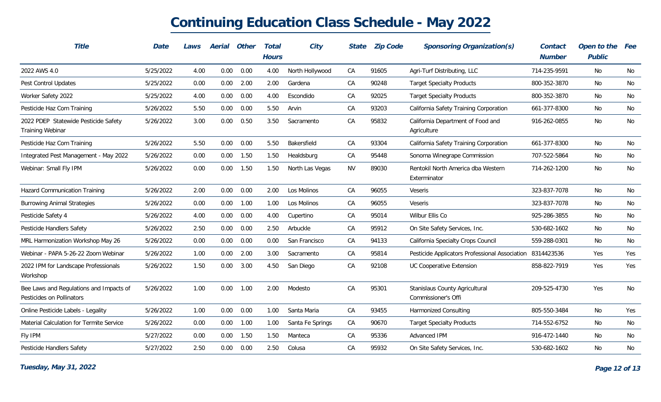| <b>Title</b>                                                         | Date      | Laws | Aerial | Other | Total<br><b>Hours</b> | City             | <b>State</b> | <b>Zip Code</b> | Sponsoring Organization(s)                            | Contact<br><b>Number</b> | Open to the<br>Public | Fee |
|----------------------------------------------------------------------|-----------|------|--------|-------|-----------------------|------------------|--------------|-----------------|-------------------------------------------------------|--------------------------|-----------------------|-----|
| 2022 AWS 4.0                                                         | 5/25/2022 | 4.00 | 0.00   | 0.00  | 4.00                  | North Hollywood  | CA           | 91605           | Agri-Turf Distributing, LLC                           | 714-235-9591             | No                    | No  |
| Pest Control Updates                                                 | 5/25/2022 | 0.00 | 0.00   | 2.00  | 2.00                  | Gardena          | СA           | 90248           | <b>Target Specialty Products</b>                      | 800-352-3870             | No                    | No  |
| Worker Safety 2022                                                   | 5/25/2022 | 4.00 | 0.00   | 0.00  | 4.00                  | Escondido        | CA           | 92025           | <b>Target Specialty Products</b>                      | 800-352-3870             | No                    | No  |
| Pesticide Haz Com Training                                           | 5/26/2022 | 5.50 | 0.00   | 0.00  | 5.50                  | Arvin            | CA           | 93203           | California Safety Training Corporation                | 661-377-8300             | No                    | No  |
| 2022 PDEP Statewide Pesticide Safety<br><b>Training Webinar</b>      | 5/26/2022 | 3.00 | 0.00   | 0.50  | 3.50                  | Sacramento       | CA           | 95832           | California Department of Food and<br>Agriculture      | 916-262-0855             | No                    | No  |
| Pesticide Haz Com Training                                           | 5/26/2022 | 5.50 | 0.00   | 0.00  | 5.50                  | Bakersfield      | CA           | 93304           | California Safety Training Corporation                | 661-377-8300             | No                    | No  |
| Integrated Pest Management - May 2022                                | 5/26/2022 | 0.00 | 0.00   | 1.50  | 1.50                  | Healdsburg       | CA           | 95448           | Sonoma Winegrape Commission                           | 707-522-5864             | No                    | No  |
| Webinar: Small Fly IPM                                               | 5/26/2022 | 0.00 | 0.00   | 1.50  | 1.50                  | North Las Vegas  | <b>NV</b>    | 89030           | Rentokil North America dba Western<br>Exterminator    | 714-262-1200             | No                    | No  |
| <b>Hazard Communication Training</b>                                 | 5/26/2022 | 2.00 | 0.00   | 0.00  | 2.00                  | Los Molinos      | CA           | 96055           | <b>Veseris</b>                                        | 323-837-7078             | No                    | No  |
| <b>Burrowing Animal Strategies</b>                                   | 5/26/2022 | 0.00 | 0.00   | 1.00  | 1.00                  | Los Molinos      | CA           | 96055           | <b>Veseris</b>                                        | 323-837-7078             | No                    | No  |
| Pesticide Safety 4                                                   | 5/26/2022 | 4.00 | 0.00   | 0.00  | 4.00                  | Cupertino        | CA           | 95014           | Wilbur Ellis Co                                       | 925-286-3855             | No                    | No  |
| Pesticide Handlers Safety                                            | 5/26/2022 | 2.50 | 0.00   | 0.00  | 2.50                  | Arbuckle         | CA           | 95912           | On Site Safety Services, Inc.                         | 530-682-1602             | No                    | No  |
| MRL Harmonization Workshop May 26                                    | 5/26/2022 | 0.00 | 0.00   | 0.00  | 0.00                  | San Francisco    | ${\sf CA}$   | 94133           | California Specialty Crops Council                    | 559-288-0301             | No                    | No  |
| Webinar - PAPA 5-26-22 Zoom Webinar                                  | 5/26/2022 | 1.00 | 0.00   | 2.00  | 3.00                  | Sacramento       | CA           | 95814           | Pesticide Applicators Professional Association        | 8314423536               | Yes                   | Yes |
| 2022 IPM for Landscape Professionals<br>Workshop                     | 5/26/2022 | 1.50 | 0.00   | 3.00  | 4.50                  | San Diego        | ${\sf CA}$   | 92108           | UC Cooperative Extension                              | 858-822-7919             | Yes                   | Yes |
| Bee Laws and Regulations and Impacts of<br>Pesticides on Pollinators | 5/26/2022 | 1.00 | 0.00   | 1.00  | 2.00                  | Modesto          | CA           | 95301           | Stanislaus County Agricultural<br>Commissioner's Offi | 209-525-4730             | Yes                   | No  |
| Online Pesticide Labels - Legality                                   | 5/26/2022 | 1.00 | 0.00   | 0.00  | 1.00                  | Santa Maria      | CA           | 93455           | Harmonized Consulting                                 | 805-550-3484             | No                    | Yes |
| Material Calculation for Termite Service                             | 5/26/2022 | 0.00 | 0.00   | 1.00  | 1.00                  | Santa Fe Springs | CA           | 90670           | <b>Target Specialty Products</b>                      | 714-552-6752             | No                    | No  |
| Fly IPM                                                              | 5/27/2022 | 0.00 | 0.00   | 1.50  | 1.50                  | Manteca          | CA           | 95336           | Advanced IPM                                          | 916-472-1440             | No                    | No  |
| Pesticide Handlers Safety                                            | 5/27/2022 | 2.50 | 0.00   | 0.00  | 2.50                  | Colusa           | CA           | 95932           | On Site Safety Services, Inc.                         | 530-682-1602             | No                    | No  |